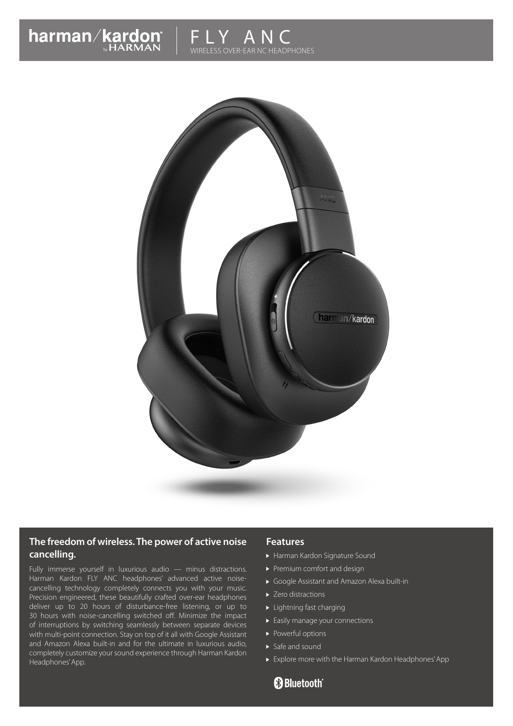



#### **The freedom of wireless. The power of active noise cancelling.**

Fully immerse yourself in luxurious audio — minus distractions. Harman Kardon FLY ANC headphones' advanced active noisecancelling technology completely connects you with your music. Precision engineered, these beautifully crafted over-ear headphones deliver up to 20 hours of disturbance-free listening, or up to 30 hours with noise-cancelling switched off. Minimize the impact of interruptions by switching seamlessly between separate devices with multi-point connection. Stay on top of it all with Google Assistant and Amazon Alexa built-in and for the ultimate in luxurious audio, completely customize your sound experience through Harman Kardon Headphones' App.

#### **Features**

- Harman Kardon Signature Sound
- Premium comfort and design
- Google Assistant and Amazon Alexa built-in
- ▶ Zero distractions
- ▶ Lightning fast charging
- Easily manage your connections
- Powerful options
- $\triangleright$  Safe and sound
- Explore more with the Harman Kardon Headphones' App

**83 Bluetooth**